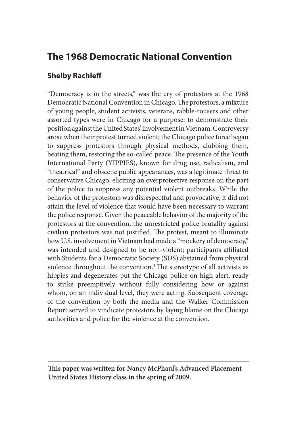# **The 1968 Democratic National Convention**

# **Shelby Rachleff**

"Democracy is in the streets," was the cry of protestors at the 1968 Democratic National Convention in Chicago. The protestors, a mixture of young people, student activists, veterans, rabble-rousers and other assorted types were in Chicago for a purpose: to demonstrate their position against the United States' involvement in Vietnam. Controversy arose when their protest turned violent; the Chicago police force began to suppress protestors through physical methods, clubbing them, beating them, restoring the so-called peace. The presence of the Youth International Party (YIPPIES), known for drug use, radicalism, and "theatrical" and obscene public appearances, was a legitimate threat to conservative Chicago, eliciting an overprotective response on the part of the police to suppress any potential violent outbreaks. While the behavior of the protestors was disrespectful and provocative, it did not attain the level of violence that would have been necessary to warrant the police response. Given the peaceable behavior of the majority of the protestors at the convention, the unrestricted police brutality against civilian protestors was not justified. The protest, meant to illuminate how U.S. involvement in Vietnam had made a "mockery of democracy," was intended and designed to be non-violent; participants affiliated with Students for a Democratic Society (SDS) abstained from physical violence throughout the convention.1 The stereotype of all activists as hippies and degenerates put the Chicago police on high alert, ready to strike preemptively without fully considering how or against whom, on an individual level, they were acting. Subsequent coverage of the convention by both the media and the Walker Commission Report served to vindicate protestors by laying blame on the Chicago authorities and police for the violence at the convention.

**This paper was written for Nancy McPhaul's Advanced Placement United States History class in the spring of 2009.**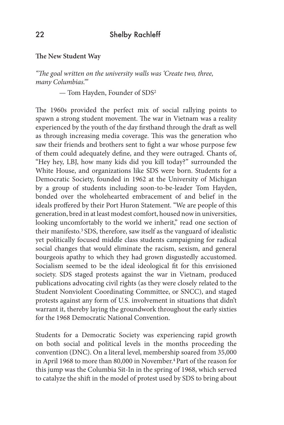### **The New Student Way**

*"The goal written on the university walls was 'Create two, three, many Columbias.'"*

— Tom Hayden, Founder of SDS2

The 1960s provided the perfect mix of social rallying points to spawn a strong student movement. The war in Vietnam was a reality experienced by the youth of the day firsthand through the draft as well as through increasing media coverage. This was the generation who saw their friends and brothers sent to fight a war whose purpose few of them could adequately define, and they were outraged. Chants of, "Hey hey, LBJ, how many kids did you kill today?" surrounded the White House, and organizations like SDS were born. Students for a Democratic Society, founded in 1962 at the University of Michigan by a group of students including soon-to-be-leader Tom Hayden, bonded over the wholehearted embracement of and belief in the ideals proffered by their Port Huron Statement. "We are people of this generation, bred in at least modest comfort, housed now in universities, looking uncomfortably to the world we inherit," read one section of their manifesto.3 SDS, therefore, saw itself as the vanguard of idealistic yet politically focused middle class students campaigning for radical social changes that would eliminate the racism, sexism, and general bourgeois apathy to which they had grown disgustedly accustomed. Socialism seemed to be the ideal ideological fit for this envisioned society. SDS staged protests against the war in Vietnam, produced publications advocating civil rights (as they were closely related to the Student Nonviolent Coordinating Committee, or SNCC), and staged protests against any form of U.S. involvement in situations that didn't warrant it, thereby laying the groundwork throughout the early sixties for the 1968 Democratic National Convention.

Students for a Democratic Society was experiencing rapid growth on both social and political levels in the months proceeding the convention (DNC). On a literal level, membership soared from 35,000 in April 1968 to more than 80,000 in November.<sup>4</sup> Part of the reason for this jump was the Columbia Sit-In in the spring of 1968, which served to catalyze the shift in the model of protest used by SDS to bring about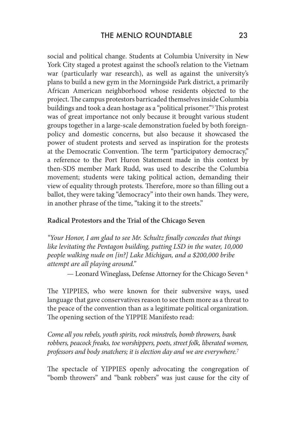social and political change. Students at Columbia University in New York City staged a protest against the school's relation to the Vietnam war (particularly war research), as well as against the university's plans to build a new gym in the Morningside Park district, a primarily African American neighborhood whose residents objected to the project. The campus protestors barricaded themselves inside Columbia buildings and took a dean hostage as a "political prisoner."5 This protest was of great importance not only because it brought various student groups together in a large-scale demonstration fueled by both foreignpolicy and domestic concerns, but also because it showcased the power of student protests and served as inspiration for the protests at the Democratic Convention. The term "participatory democracy," a reference to the Port Huron Statement made in this context by then-SDS member Mark Rudd, was used to describe the Columbia movement; students were taking political action, demanding their view of equality through protests. Therefore, more so than filling out a ballot, they were taking "democracy" into their own hands. They were, in another phrase of the time, "taking it to the streets."

#### **Radical Protestors and the Trial of the Chicago Seven**

*"Your Honor, I am glad to see Mr. Schultz finally concedes that things like levitating the Pentagon building, putting LSD in the water, 10,000 people walking nude on [in?] Lake Michigan, and a \$200,000 bribe attempt are all playing around."*

— Leonard Wineglass, Defense Attorney for the Chicago Seven 6

The YIPPIES, who were known for their subversive ways, used language that gave conservatives reason to see them more as a threat to the peace of the convention than as a legitimate political organization. The opening section of the YIPPIE Manifesto read:

*Come all you rebels, youth spirits, rock minstrels, bomb throwers, bank robbers, peacock freaks, toe worshippers, poets, street folk, liberated women, professors and body snatchers; it is election day and we are everywhere.*<sup>7</sup>

The spectacle of YIPPIES openly advocating the congregation of "bomb throwers" and "bank robbers" was just cause for the city of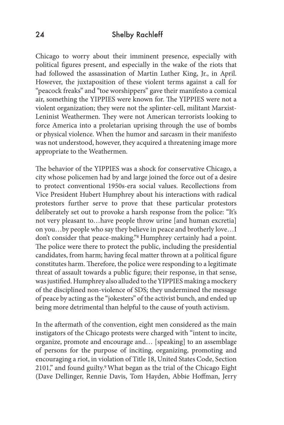## 24 Shelby Rachleff

Chicago to worry about their imminent presence, especially with political figures present, and especially in the wake of the riots that had followed the assassination of Martin Luther King, Jr., in April. However, the juxtaposition of these violent terms against a call for "peacock freaks" and "toe worshippers" gave their manifesto a comical air, something the YIPPIES were known for. The YIPPIES were not a violent organization; they were not the splinter-cell, militant Marxist-Leninist Weathermen. They were not American terrorists looking to force America into a proletarian uprising through the use of bombs or physical violence. When the humor and sarcasm in their manifesto was not understood, however, they acquired a threatening image more appropriate to the Weathermen.

The behavior of the YIPPIES was a shock for conservative Chicago, a city whose policemen had by and large joined the force out of a desire to protect conventional 1950s-era social values. Recollections from Vice President Hubert Humphrey about his interactions with radical protestors further serve to prove that these particular protestors deliberately set out to provoke a harsh response from the police: "It's not very pleasant to…have people throw urine [and human excretia] on you…by people who say they believe in peace and brotherly love…I don't consider that peace-making."8 Humphrey certainly had a point. The police were there to protect the public, including the presidential candidates, from harm; having fecal matter thrown at a political figure constitutes harm. Therefore, the police were responding to a legitimate threat of assault towards a public figure; their response, in that sense, was justified. Humphrey also alluded to the YIPPIES making a mockery of the disciplined non-violence of SDS; they undermined the message of peace by acting as the "jokesters" of the activist bunch, and ended up being more detrimental than helpful to the cause of youth activism.

In the aftermath of the convention, eight men considered as the main instigators of the Chicago protests were charged with "intent to incite, organize, promote and encourage and… [speaking] to an assemblage of persons for the purpose of inciting, organizing, promoting and encouraging a riot, in violation of Title 18, United States Code, Section 2101," and found guilty.<sup>9</sup> What began as the trial of the Chicago Eight (Dave Dellinger, Rennie Davis, Tom Hayden, Abbie Hoffman, Jerry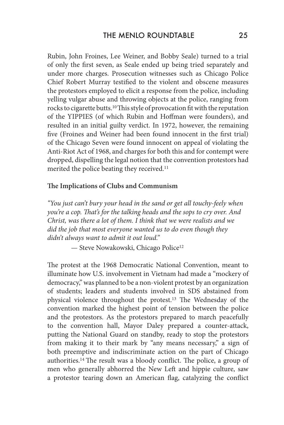Rubin, John Froines, Lee Weiner, and Bobby Seale) turned to a trial of only the first seven, as Seale ended up being tried separately and under more charges. Prosecution witnesses such as Chicago Police Chief Robert Murray testified to the violent and obscene measures the protestors employed to elicit a response from the police, including yelling vulgar abuse and throwing objects at the police, ranging from rocks to cigarette butts.10 This style of provocation fit with the reputation of the YIPPIES (of which Rubin and Hoffman were founders), and resulted in an initial guilty verdict. In 1972, however, the remaining five (Froines and Weiner had been found innocent in the first trial) of the Chicago Seven were found innocent on appeal of violating the Anti-Riot Act of 1968, and charges for both this and for contempt were dropped, dispelling the legal notion that the convention protestors had merited the police beating they received.<sup>11</sup>

## **The Implications of Clubs and Communism**

*"You just can't bury your head in the sand or get all touchy-feely when you're a cop. That's for the talking heads and the sops to cry over. And Christ, was there a lot of them. I think that we were realists and we did the job that most everyone wanted us to do even though they didn't always want to admit it out loud."*

— Steve Nowakowski, Chicago Police12

The protest at the 1968 Democratic National Convention, meant to illuminate how U.S. involvement in Vietnam had made a "mockery of democracy," was planned to be a non-violent protest by an organization of students; leaders and students involved in SDS abstained from physical violence throughout the protest.13 The Wednesday of the convention marked the highest point of tension between the police and the protestors. As the protestors prepared to march peacefully to the convention hall, Mayor Daley prepared a counter-attack, putting the National Guard on standby, ready to stop the protestors from making it to their mark by "any means necessary," a sign of both preemptive and indiscriminate action on the part of Chicago authorities.14 The result was a bloody conflict. The police, a group of men who generally abhorred the New Left and hippie culture, saw a protestor tearing down an American flag, catalyzing the conflict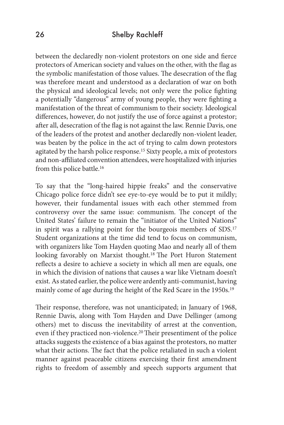# 26 Shelby Rachleff

between the declaredly non-violent protestors on one side and fierce protectors of American society and values on the other, with the flag as the symbolic manifestation of those values. The desecration of the flag was therefore meant and understood as a declaration of war on both the physical and ideological levels; not only were the police fighting a potentially "dangerous" army of young people, they were fighting a manifestation of the threat of communism to their society. Ideological differences, however, do not justify the use of force against a protestor; after all, desecration of the flag is not against the law. Rennie Davis, one of the leaders of the protest and another declaredly non-violent leader, was beaten by the police in the act of trying to calm down protestors agitated by the harsh police response.15 Sixty people, a mix of protestors and non-affiliated convention attendees, were hospitalized with injuries from this police battle.<sup>16</sup>

To say that the "long-haired hippie freaks" and the conservative Chicago police force didn't see eye-to-eye would be to put it mildly; however, their fundamental issues with each other stemmed from controversy over the same issue: communism. The concept of the United States' failure to remain the "initiator of the United Nations" in spirit was a rallying point for the bourgeois members of SDS.17 Student organizations at the time did tend to focus on communism, with organizers like Tom Hayden quoting Mao and nearly all of them looking favorably on Marxist thought.18 The Port Huron Statement reflects a desire to achieve a society in which all men are equals, one in which the division of nations that causes a war like Vietnam doesn't exist. As stated earlier, the police were ardently anti-communist, having mainly come of age during the height of the Red Scare in the 1950s.19

Their response, therefore, was not unanticipated; in January of 1968, Rennie Davis, along with Tom Hayden and Dave Dellinger (among others) met to discuss the inevitability of arrest at the convention, even if they practiced non-violence.20 Their presentiment of the police attacks suggests the existence of a bias against the protestors, no matter what their actions. The fact that the police retaliated in such a violent manner against peaceable citizens exercising their first amendment rights to freedom of assembly and speech supports argument that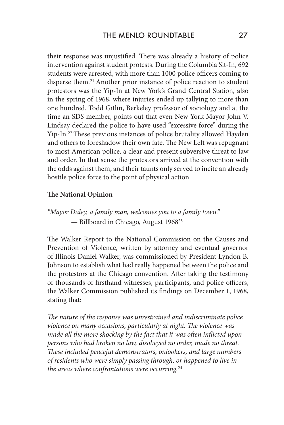their response was unjustified. There was already a history of police intervention against student protests. During the Columbia Sit-In, 692 students were arrested, with more than 1000 police officers coming to disperse them.21 Another prior instance of police reaction to student protestors was the Yip-In at New York's Grand Central Station, also in the spring of 1968, where injuries ended up tallying to more than one hundred. Todd Gitlin, Berkeley professor of sociology and at the time an SDS member, points out that even New York Mayor John V. Lindsay declared the police to have used "excessive force" during the Yip-In.22 These previous instances of police brutality allowed Hayden and others to foreshadow their own fate. The New Left was repugnant to most American police, a clear and present subversive threat to law and order. In that sense the protestors arrived at the convention with the odds against them, and their taunts only served to incite an already hostile police force to the point of physical action.

#### **The National Opinion**

*"Mayor Daley, a family man, welcomes you to a family town."* — Billboard in Chicago, August 196823

The Walker Report to the National Commission on the Causes and Prevention of Violence, written by attorney and eventual governor of Illinois Daniel Walker, was commissioned by President Lyndon B. Johnson to establish what had really happened between the police and the protestors at the Chicago convention. After taking the testimony of thousands of firsthand witnesses, participants, and police officers, the Walker Commission published its findings on December 1, 1968, stating that:

*The nature of the response was unrestrained and indiscriminate police violence on many occasions, particularly at night. The violence was made all the more shocking by the fact that it was often inflicted upon persons who had broken no law, disobeyed no order, made no threat. These included peaceful demonstrators, onlookers, and large numbers of residents who were simply passing through, or happened to live in the areas where confrontations were occurring.*<sup>24</sup>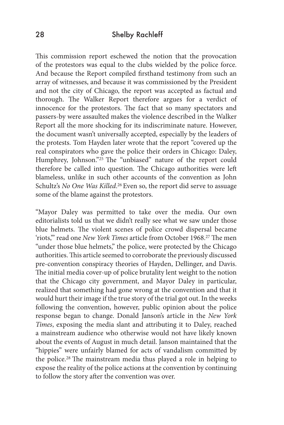## 28 Shelby Rachleff

This commission report eschewed the notion that the provocation of the protestors was equal to the clubs wielded by the police force. And because the Report compiled firsthand testimony from such an array of witnesses, and because it was commissioned by the President and not the city of Chicago, the report was accepted as factual and thorough. The Walker Report therefore argues for a verdict of innocence for the protestors. The fact that so many spectators and passers-by were assaulted makes the violence described in the Walker Report all the more shocking for its indiscriminate nature. However, the document wasn't universally accepted, especially by the leaders of the protests. Tom Hayden later wrote that the report "covered up the real conspirators who gave the police their orders in Chicago: Daley, Humphrey, Johnson."25 The "unbiased" nature of the report could therefore be called into question. The Chicago authorities were left blameless, unlike in such other accounts of the convention as John Schultz's *No One Was Killed*. 26 Even so, the report did serve to assuage some of the blame against the protestors.

"Mayor Daley was permitted to take over the media. Our own editorialists told us that we didn't really see what we saw under those blue helmets. The violent scenes of police crowd dispersal became 'riots,'" read one *New York Times* article from October 1968.27 The men "under those blue helmets," the police, were protected by the Chicago authorities. This article seemed to corroborate the previously discussed pre-convention conspiracy theories of Hayden, Dellinger, and Davis. The initial media cover-up of police brutality lent weight to the notion that the Chicago city government, and Mayor Daley in particular, realized that something had gone wrong at the convention and that it would hurt their image if the true story of the trial got out. In the weeks following the convention, however, public opinion about the police response began to change. Donald Janson's article in the *New York Times*, exposing the media slant and attributing it to Daley, reached a mainstream audience who otherwise would not have likely known about the events of August in much detail. Janson maintained that the "hippies" were unfairly blamed for acts of vandalism committed by the police.28 The mainstream media thus played a role in helping to expose the reality of the police actions at the convention by continuing to follow the story after the convention was over.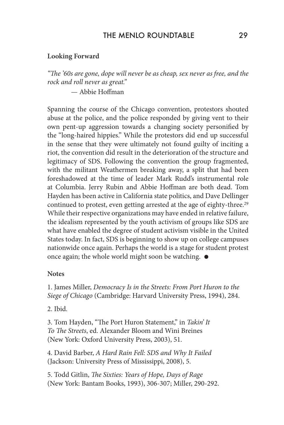# THE MENIO ROUNDTABLE 29

#### **Looking Forward**

*"The '60s are gone, dope will never be as cheap, sex never as free, and the rock and roll never as great."*

— Abbie Hoffman

Spanning the course of the Chicago convention, protestors shouted abuse at the police, and the police responded by giving vent to their own pent-up aggression towards a changing society personified by the "long-haired hippies." While the protestors did end up successful in the sense that they were ultimately not found guilty of inciting a riot, the convention did result in the deterioration of the structure and legitimacy of SDS. Following the convention the group fragmented, with the militant Weathermen breaking away, a split that had been foreshadowed at the time of leader Mark Rudd's instrumental role at Columbia. Jerry Rubin and Abbie Hoffman are both dead. Tom Hayden has been active in California state politics, and Dave Dellinger continued to protest, even getting arrested at the age of eighty-three.29 While their respective organizations may have ended in relative failure, the idealism represented by the youth activism of groups like SDS are what have enabled the degree of student activism visible in the United States today. In fact, SDS is beginning to show up on college campuses nationwide once again. Perhaps the world is a stage for student protest once again; the whole world might soon be watching.

#### **Notes**

1. James Miller, *Democracy Is in the Streets: From Port Huron to the Siege of Chicago* (Cambridge: Harvard University Press, 1994), 284.

2. Ibid.

3. Tom Hayden, "The Port Huron Statement," in *Takin' It To The Streets*, ed. Alexander Bloom and Wini Breines (New York: Oxford University Press, 2003), 51.

4. David Barber, *A Hard Rain Fell: SDS and Why It Failed* (Jackson: University Press of Mississippi, 2008), 5.

5. Todd Gitlin, *The Sixties: Years of Hope, Days of Rage* (New York: Bantam Books, 1993), 306-307; Miller, 290-292.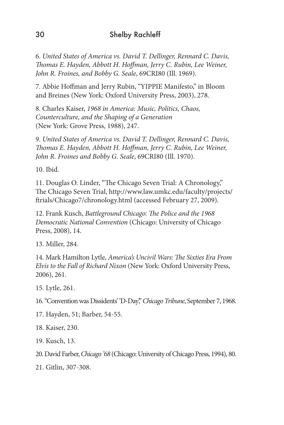6. *United States of America vs. David T. Dellinger, Rennard C. Davis, Thomas E. Hayden, Abbott H. Hoffman, Jerry C. Rubin, Lee Weiner, John R. Froines, and Bobby G. Seale*, 69CRI80 (Ill. 1969).

7. Abbie Hoffman and Jerry Rubin, "YIPPIE Manifesto," in Bloom and Breines (New York: Oxford University Press, 2003), 278.

8. Charles Kaiser, *1968 in America: Music, Politics, Chaos, Counterculture, and the Shaping of a Generation* (New York: Grove Press, 1988), 247.

9. *United States of America vs. David T. Dellinger, Rennard C. Davis, Thomas E. Hayden, Abbott H. Hoffman, Jerry C. Rubin, Lee Weiner, John R. Froines and Bobby G. Seale*, 69CRI80 (Ill. 1970).

10. Ibid.

11. Douglas O. Linder, "The Chicago Seven Trial: A Chronology," The Chicago Seven Trial, http://www.law.umkc.edu/faculty/projects/ ftrials/Chicago7/chronology.html (accessed February 27, 2009).

12. Frank Kusch, *Battleground Chicago: The Police and the 1968 Democratic National Convention* (Chicago: University of Chicago Press, 2008), 14.

13. Miller, 284.

14. Mark Hamilton Lytle, *America's Uncivil Wars: The Sixties Era From Elvis to the Fall of Richard Nixon* (New York: Oxford University Press, 2006), 261.

15. Lytle, 261.

16. "Convention was Dissidents' 'D-Day'," *Chicago Tribune*, September 7, 1968.

17. Hayden, 51; Barber, 54-55.

18. Kaiser, 230.

19. Kusch, 13.

20. David Farber, *Chicago '68* (Chicago: University of Chicago Press, 1994), 80.

21. Gitlin, 307-308.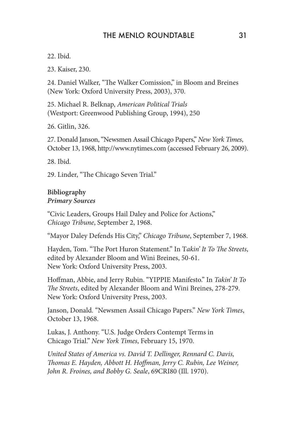# THE MENIO ROUNDTABLE 31

22. Ibid.

23. Kaiser, 230.

24. Daniel Walker, "The Walker Comission," in Bloom and Breines (New York: Oxford University Press, 2003), 370.

25. Michael R. Belknap, *American Political Trials* (Westport: Greenwood Publishing Group, 1994), 250

26. Gitlin, 326.

27. Donald Janson, "Newsmen Assail Chicago Papers," *New York Times*, October 13, 1968, http://www.nytimes.com (accessed February 26, 2009).

28. Ibid.

29. Linder, "The Chicago Seven Trial."

### **Bibliography** *Primary Sources*

"Civic Leaders, Groups Hail Daley and Police for Actions," *Chicago Tribune*, September 2, 1968.

"Mayor Daley Defends His City," *Chicago Tribune*, September 7, 1968.

Hayden, Tom. "The Port Huron Statement." In T*akin' It To The Streets*, edited by Alexander Bloom and Wini Breines, 50-61. New York: Oxford University Press, 2003.

Hoffman, Abbie, and Jerry Rubin. "YIPPIE Manifesto." In *Takin' It To The Streets*, edited by Alexander Bloom and Wini Breines, 278-279. New York: Oxford University Press, 2003.

Janson, Donald. "Newsmen Assail Chicago Papers." *New York Times*, October 13, 1968.

Lukas, J. Anthony. "U.S. Judge Orders Contempt Terms in Chicago Trial." *New York Times*, February 15, 1970.

*United States of America vs. David T. Dellinger, Rennard C. Davis, Thomas E. Hayden, Abbott H. Hoffman, Jerry C. Rubin, Lee Weiner, John R. Froines, and Bobby G. Seale*, 69CRI80 (Ill. 1970).